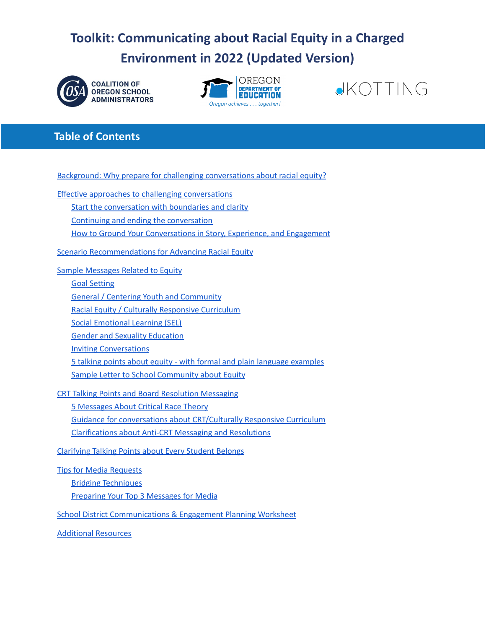# **Toolkit: Communicating about Racial Equity in a Charged Environment in 2022 (Updated Version)**







# **Table of Contents**

Background: Why prepare for challenging [conversations](#page-1-0) about racial equity?

Effective approaches to challenging [conversations](#page-1-1)

Start the [conversation](#page-1-2) with boundaries and clarity

Continuing and ending the [conversation](#page-2-0)

How to Ground Your [Conversations](#page-2-1) in Story, Experience, and Engagement

Scenario [Recommendations](#page-3-0) for Advancing Racial Equity

Sample [Messages](#page-7-0) Related to Equity

Goal [Setting](#page-7-1) General / Centering Youth and [Community](#page-7-2) Racial Equity / Culturally [Responsive](#page-8-0) Curriculum Social [Emotional](#page-8-1) Learning (SEL) Gender and Sexuality [Education](#page-9-0) Inviting [Conversations](#page-10-0) 5 talking points about equity - with formal and plain language [examples](#page-10-1) Sample Letter to School [Community](#page-11-0) about Equity

CRT Talking Points and Board [Resolution](#page-13-0) Messaging

5 [Messages](#page-13-1) About Critical Race Theory Guidance for conversations about [CRT/Culturally](#page-14-0) Responsive Curriculum [Clarifications](#page-14-1) about Anti-CRT Messaging and Resolutions

[Clarifying](#page-18-0) Talking Points about Every Student Belongs

Tips for Media [Requests](#page-19-0) Bridging [Techniques](#page-20-0) Preparing Your Top 3 [Messages](#page-21-0) for Media

School District [Communications](#page-21-1) & Engagement Planning Worksheet

[Additional](#page-25-0) Resources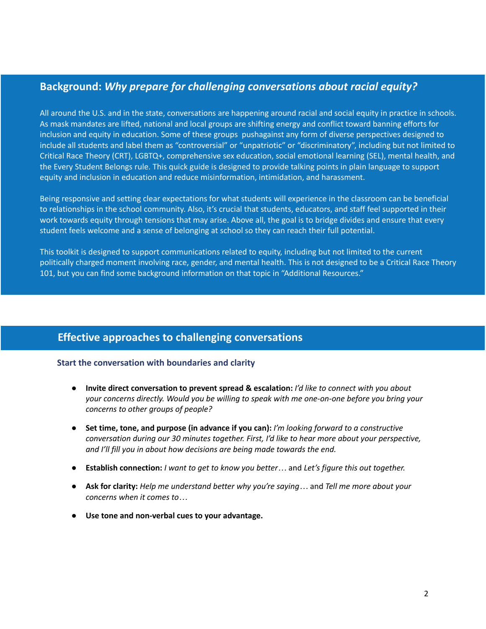# <span id="page-1-0"></span>**Background:** *Why prepare for challenging conversations about racial equity?*

All around the U.S. and in the state, conversations are happening around racial and social equity in practice in schools. As mask mandates are lifted, national and local groups are shifting energy and conflict toward banning efforts for inclusion and equity in education. Some of these groups pushagainst any form of diverse perspectives designed to include all students and label them as "controversial" or "unpatriotic" or "discriminatory", including but not limited to Critical Race Theory (CRT), LGBTQ+, comprehensive sex education, social emotional learning (SEL), mental health, and the Every Student Belongs rule. This quick guide is designed to provide talking points in plain language to support equity and inclusion in education and reduce misinformation, intimidation, and harassment.

Being responsive and setting clear expectations for what students will experience in the classroom can be beneficial to relationships in the school community. Also, it's crucial that students, educators, and staff feel supported in their work towards equity through tensions that may arise. Above all, the goal is to bridge divides and ensure that every student feels welcome and a sense of belonging at school so they can reach their full potential.

This toolkit is designed to support communications related to equity, including but not limited to the current politically charged moment involving race, gender, and mental health. This is not designed to be a Critical Race Theory 101, but you can find some background information on that topic in "Additional Resources."

# <span id="page-1-1"></span>**Effective approaches to challenging conversations**

#### <span id="page-1-2"></span>**Start the conversation with boundaries and clarity**

- **Invite direct conversation to prevent spread & escalation:** *I'd like to connect with you about your concerns directly. Would you be willing to speak with me one-on-one before you bring your concerns to other groups of people?*
- **Set time, tone, and purpose (in advance if you can):** *I'm looking forward to a constructive conversation during our 30 minutes together. First, I'd like to hear more about your perspective, and I'll fill you in about how decisions are being made towards the end.*
- **Establish connection:** *I want to get to know you better…* and *Let's figure this out together.*
- **Ask for clarity:** *Help me understand better why you're saying…* and *Tell me more about your concerns when it comes to…*
- **● Use tone and non-verbal cues to your advantage.**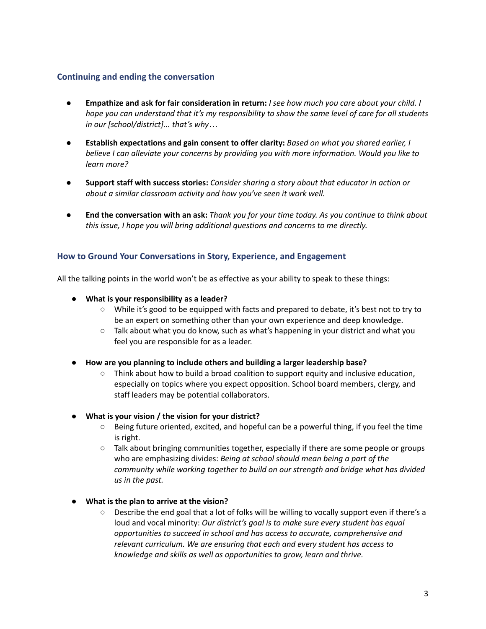### <span id="page-2-0"></span>**Continuing and ending the conversation**

- Empathize and ask for fair consideration in return: I see how much you care about your child. I hope you can understand that it's my responsibility to show the same level of care for all students *in our [school/district]... that's why…*
- **● Establish expectations and gain consent to offer clarity:** *Based on what you shared earlier, I believe I can alleviate your concerns by providing you with more information. Would you like to learn more?*
- **● Support staff with success stories:** *Consider sharing a story about that educator in action or about a similar classroom activity and how you've seen it work well.*
- End the conversation with an ask: Thank you for your time today. As you continue to think about *this issue, I hope you will bring additional questions and concerns to me directly.*

### <span id="page-2-1"></span>**How to Ground Your Conversations in Story, Experience, and Engagement**

All the talking points in the world won't be as effective as your ability to speak to these things:

- **What is your responsibility as a leader?**
	- While it's good to be equipped with facts and prepared to debate, it's best not to try to be an expert on something other than your own experience and deep knowledge.
	- $\circ$  Talk about what you do know, such as what's happening in your district and what you feel you are responsible for as a leader.
- **How are you planning to include others and building a larger leadership base?**
	- $\circ$  Think about how to build a broad coalition to support equity and inclusive education, especially on topics where you expect opposition. School board members, clergy, and staff leaders may be potential collaborators.
- **What is your vision / the vision for your district?**
	- Being future oriented, excited, and hopeful can be a powerful thing, if you feel the time is right.
	- Talk about bringing communities together, especially if there are some people or groups who are emphasizing divides: *Being at school should mean being a part of the community while working together to build on our strength and bridge what has divided us in the past.*
- **● What is the plan to arrive at the vision?**
	- Describe the end goal that a lot of folks will be willing to vocally support even if there's a loud and vocal minority: *Our district's goal is to make sure every student has equal opportunities to succeed in school and has access to accurate, comprehensive and relevant curriculum. We are ensuring that each and every student has access to knowledge and skills as well as opportunities to grow, learn and thrive.*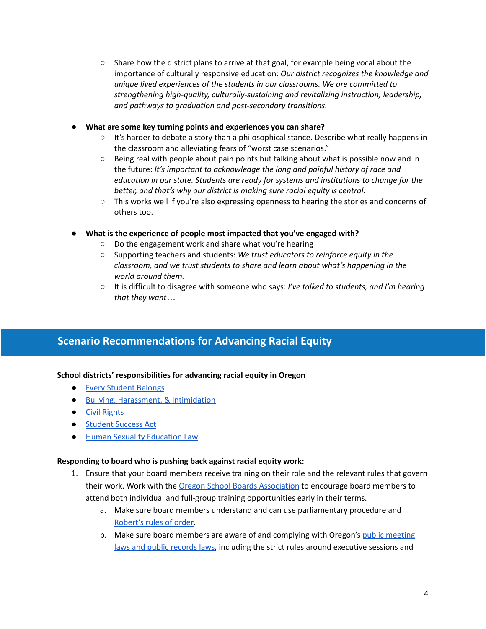- $\circ$  Share how the district plans to arrive at that goal, for example being vocal about the importance of culturally responsive education: *Our district recognizes the knowledge and unique lived experiences of the students in our classrooms. We are committed to strengthening high-quality, culturally-sustaining and revitalizing instruction, leadership, and pathways to graduation and post-secondary transitions.*
- **● What are some key turning points and experiences you can share?**
	- It's harder to debate a story than a philosophical stance. Describe what really happens in the classroom and alleviating fears of "worst case scenarios."
	- Being real with people about pain points but talking about what is possible now and in the future: *It's important to acknowledge the long and painful history of race and education in our state. Students are ready for systems and institutions to change for the better, and that's why our district is making sure racial equity is central.*
	- This works well if you're also expressing openness to hearing the stories and concerns of others too.
- **● What is the experience of people most impacted that you've engaged with?**
	- Do the engagement work and share what you're hearing
	- Supporting teachers and students: *We trust educators to reinforce equity in the classroom, and we trust students to share and learn about what's happening in the world around them.*
	- It is difficult to disagree with someone who says: *I've talked to students, and I'm hearing that they want…*

# <span id="page-3-0"></span>**Scenario Recommendations for Advancing Racial Equity**

### **School districts' responsibilities for advancing racial equity in Oregon**

- Every [Student](https://www.oregon.gov/ode/students-and-family/equity/SchoolSafety/Pages/EveryStudentBelongs.aspx) Belongs
- Bullying, [Harassment,](https://www.oregonlegislature.gov/bills_laws/ors/ors339.html) & Intimidation
- Civil [Rights](https://www.oregon.gov/ode/students-and-family/equity/civilrights/Pages/default.aspx)
- [Student](https://www.oregon.gov/ode/studentsuccess/Pages/default.aspx) Success Act
- Human Sexuality [Education](https://secure.sos.state.or.us/oard/viewSingleRule.action?ruleVrsnRsn=145221) Law

#### **Responding to board who is pushing back against racial equity work:**

- 1. Ensure that your board members receive training on their role and the relevant rules that govern their work. Work with the Oregon School Boards [Association](http://www.osba.org/) to encourage board members to attend both individual and full-group training opportunities early in their terms.
	- a. Make sure board members understand and can use parliamentary procedure and [Robert's](https://robertsrules.com/) rules of order.
	- b. Make sure board members are aware of and complying with Oregon's public [meeting](https://www.doj.state.or.us/oregon-department-of-justice/public-records/public-records-and-meetings-law/) laws and public [records](https://www.doj.state.or.us/oregon-department-of-justice/public-records/public-records-and-meetings-law/) laws, including the strict rules around executive sessions and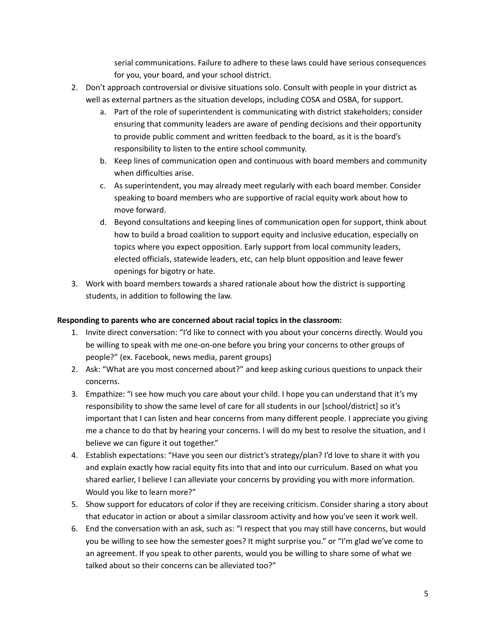serial communications. Failure to adhere to these laws could have serious consequences for you, your board, and your school district.

- 2. Don't approach controversial or divisive situations solo. Consult with people in your district as well as external partners as the situation develops, including COSA and OSBA, for support.
	- a. Part of the role of superintendent is communicating with district stakeholders; consider ensuring that community leaders are aware of pending decisions and their opportunity to provide public comment and written feedback to the board, as it is the board's responsibility to listen to the entire school community.
	- b. Keep lines of communication open and continuous with board members and community when difficulties arise.
	- c. As superintendent, you may already meet regularly with each board member. Consider speaking to board members who are supportive of racial equity work about how to move forward.
	- d. Beyond consultations and keeping lines of communication open for support, think about how to build a broad coalition to support equity and inclusive education, especially on topics where you expect opposition. Early support from local community leaders, elected officials, statewide leaders, etc, can help blunt opposition and leave fewer openings for bigotry or hate.
- 3. Work with board members towards a shared rationale about how the district is supporting students, in addition to following the law.

### **Responding to parents who are concerned about racial topics in the classroom:**

- 1. Invite direct conversation: "I'd like to connect with you about your concerns directly. Would you be willing to speak with me one-on-one before you bring your concerns to other groups of people?" (ex. Facebook, news media, parent groups)
- 2. Ask: "What are you most concerned about?" and keep asking curious questions to unpack their concerns.
- 3. Empathize: "I see how much you care about your child. I hope you can understand that it's my responsibility to show the same level of care for all students in our [school/district] so it's important that I can listen and hear concerns from many different people. I appreciate you giving me a chance to do that by hearing your concerns. I will do my best to resolve the situation, and I believe we can figure it out together."
- 4. Establish expectations: "Have you seen our district's strategy/plan? I'd love to share it with you and explain exactly how racial equity fits into that and into our curriculum. Based on what you shared earlier, I believe I can alleviate your concerns by providing you with more information. Would you like to learn more?"
- 5. Show support for educators of color if they are receiving criticism. Consider sharing a story about that educator in action or about a similar classroom activity and how you've seen it work well.
- 6. End the conversation with an ask, such as: "I respect that you may still have concerns, but would you be willing to see how the semester goes? It might surprise you." or "I'm glad we've come to an agreement. If you speak to other parents, would you be willing to share some of what we talked about so their concerns can be alleviated too?"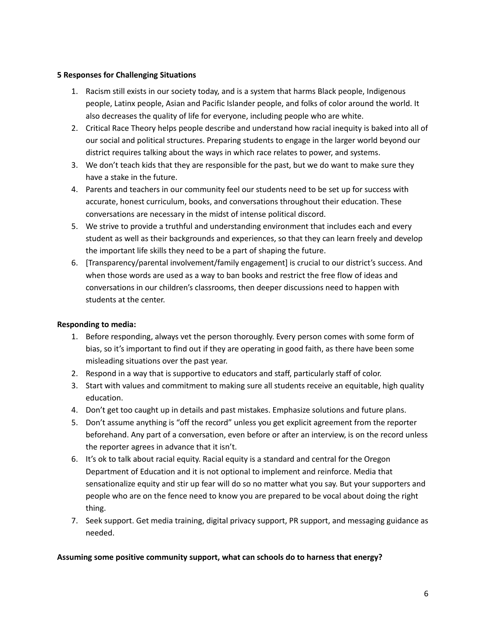#### **5 Responses for Challenging Situations**

- 1. Racism still exists in our society today, and is a system that harms Black people, Indigenous people, Latinx people, Asian and Pacific Islander people, and folks of color around the world. It also decreases the quality of life for everyone, including people who are white.
- 2. Critical Race Theory helps people describe and understand how racial inequity is baked into all of our social and political structures. Preparing students to engage in the larger world beyond our district requires talking about the ways in which race relates to power, and systems.
- 3. We don't teach kids that they are responsible for the past, but we do want to make sure they have a stake in the future.
- 4. Parents and teachers in our community feel our students need to be set up for success with accurate, honest curriculum, books, and conversations throughout their education. These conversations are necessary in the midst of intense political discord.
- 5. We strive to provide a truthful and understanding environment that includes each and every student as well as their backgrounds and experiences, so that they can learn freely and develop the important life skills they need to be a part of shaping the future.
- 6. [Transparency/parental involvement/family engagement] is crucial to our district's success. And when those words are used as a way to ban books and restrict the free flow of ideas and conversations in our children's classrooms, then deeper discussions need to happen with students at the center.

### **Responding to media:**

- 1. Before responding, always vet the person thoroughly. Every person comes with some form of bias, so it's important to find out if they are operating in good faith, as there have been some misleading situations over the past year.
- 2. Respond in a way that is supportive to educators and staff, particularly staff of color.
- 3. Start with values and commitment to making sure all students receive an equitable, high quality education.
- 4. Don't get too caught up in details and past mistakes. Emphasize solutions and future plans.
- 5. Don't assume anything is "off the record" unless you get explicit agreement from the reporter beforehand. Any part of a conversation, even before or after an interview, is on the record unless the reporter agrees in advance that it isn't.
- 6. It's ok to talk about racial equity. Racial equity is a standard and central for the Oregon Department of Education and it is not optional to implement and reinforce. Media that sensationalize equity and stir up fear will do so no matter what you say. But your supporters and people who are on the fence need to know you are prepared to be vocal about doing the right thing.
- 7. Seek support. Get media training, digital privacy support, PR support, and messaging guidance as needed.

#### **Assuming some positive community support, what can schools do to harness that energy?**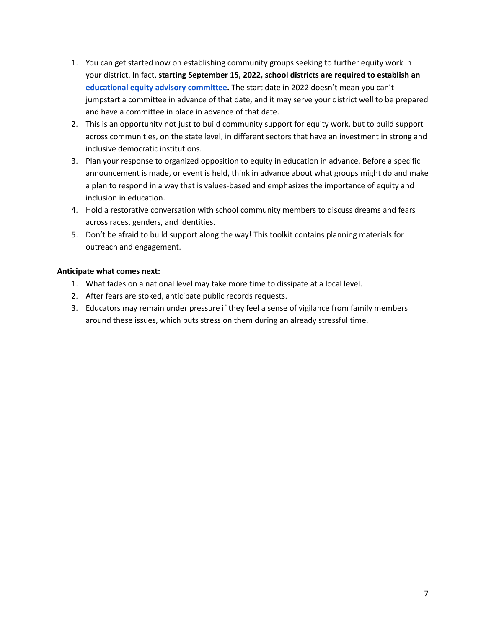- 1. You can get started now on establishing community groups seeking to further equity work in your district. In fact, **starting September 15, 2022, school districts are required to establish an [educational](https://olis.oregonlegislature.gov/liz/2021R1/Measures/Overview/SB732) equity advisory committee.** The start date in 2022 doesn't mean you can't jumpstart a committee in advance of that date, and it may serve your district well to be prepared and have a committee in place in advance of that date.
- 2. This is an opportunity not just to build community support for equity work, but to build support across communities, on the state level, in different sectors that have an investment in strong and inclusive democratic institutions.
- 3. Plan your response to organized opposition to equity in education in advance. Before a specific announcement is made, or event is held, think in advance about what groups might do and make a plan to respond in a way that is values-based and emphasizes the importance of equity and inclusion in education.
- 4. Hold a restorative conversation with school community members to discuss dreams and fears across races, genders, and identities.
- 5. Don't be afraid to build support along the way! This toolkit contains planning materials for outreach and engagement.

### **Anticipate what comes next:**

- 1. What fades on a national level may take more time to dissipate at a local level.
- 2. After fears are stoked, anticipate public records requests.
- 3. Educators may remain under pressure if they feel a sense of vigilance from family members around these issues, which puts stress on them during an already stressful time.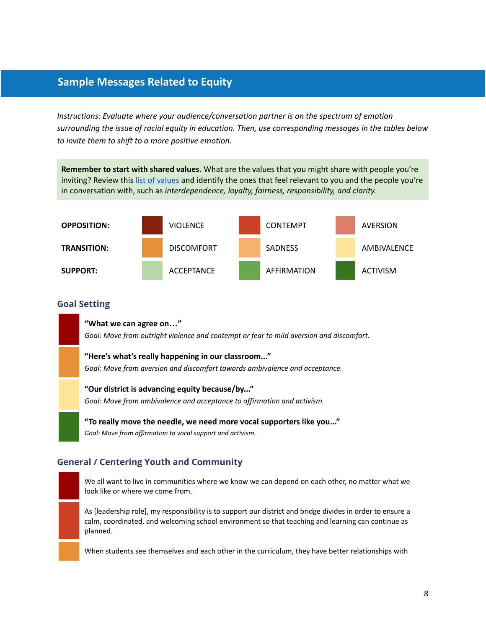# <span id="page-7-0"></span>**Sample Messages Related to Equity**

*Instructions: Evaluate where your audience/conversation partner is on the spectrum of emotion surrounding the issue of racial equity in education. Then, use corresponding messages in the tables below to invite them to shift to a more positive emotion.*

**Remember to start with shared values.** What are the values that you might share with people you're inviting? Review this list of [values](https://jamesclear.com/core-values) and identify the ones that feel relevant to you and the people you're in conversation with, such as *interdependence, loyalty, fairness, responsibility, and clarity.*



#### <span id="page-7-1"></span>**Goal Setting**

**"What we can agree on…"**

*Goal: Move from outright violence and contempt or fear to mild aversion and discomfort.*

**"Here's what's really happening in our classroom..."**

*Goal: Move from aversion and discomfort towards ambivalence and acceptance.*

#### **"Our district is advancing equity because/by..."**

*Goal: Move from ambivalence and acceptance to affirmation and activism.*

**"To really move the needle, we need more vocal supporters like you..."** *Goal: Move from affirmation to vocal support and activism.*

### <span id="page-7-2"></span>**General / Centering Youth and Community**

We all want to live in communities where we know we can depend on each other, no matter what we look like or where we come from.

As [leadership role], my responsibility is to support our district and bridge divides in order to ensure a calm, coordinated, and welcoming school environment so that teaching and learning can continue as planned.

When students see themselves and each other in the curriculum, they have better relationships with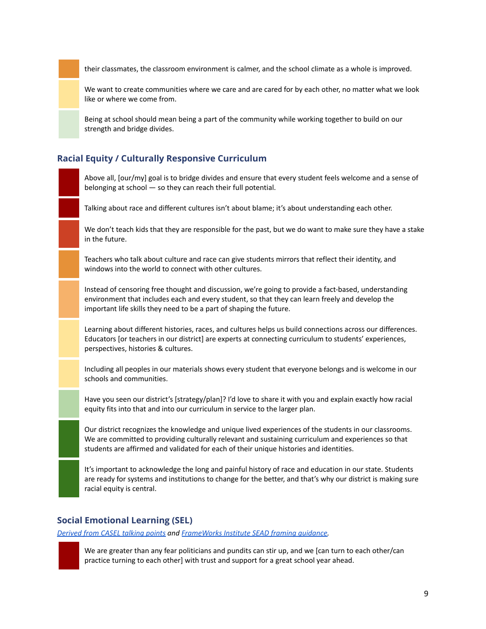their classmates, the classroom environment is calmer, and the school climate as a whole is improved.

We want to create communities where we care and are cared for by each other, no matter what we look like or where we come from.

Being at school should mean being a part of the community while working together to build on our strength and bridge divides.

### <span id="page-8-0"></span>**Racial Equity / Culturally Responsive Curriculum**

Above all, [our/my] goal is to bridge divides and ensure that every student feels welcome and a sense of belonging at school — so they can reach their full potential.

Talking about race and different cultures isn't about blame; it's about understanding each other.

We don't teach kids that they are responsible for the past, but we do want to make sure they have a stake in the future.

Teachers who talk about culture and race can give students mirrors that reflect their identity, and windows into the world to connect with other cultures.

Instead of censoring free thought and discussion, we're going to provide a fact-based, understanding environment that includes each and every student, so that they can learn freely and develop the important life skills they need to be a part of shaping the future.

Learning about different histories, races, and cultures helps us build connections across our differences. Educators [or teachers in our district] are experts at connecting curriculum to students' experiences, perspectives, histories & cultures.

Including all peoples in our materials shows every student that everyone belongs and is welcome in our schools and communities.

Have you seen our district's [strategy/plan]? I'd love to share it with you and explain exactly how racial equity fits into that and into our curriculum in service to the larger plan.

Our district recognizes the knowledge and unique lived experiences of the students in our classrooms. We are committed to providing culturally relevant and sustaining curriculum and experiences so that students are affirmed and validated for each of their unique histories and identities.

It's important to acknowledge the long and painful history of race and education in our state. Students are ready for systems and institutions to change for the better, and that's why our district is making sure racial equity is central.

#### <span id="page-8-1"></span>**Social Emotional Learning (SEL)**

*[Derived](https://casel.s3.us-east-2.amazonaws.com/KeyMessages_SEL.pdf) from CASEL talking points and [FrameWorks](https://www.aspeninstitute.org/wp-content/uploads/2017/04/SEAD_Pertinent_Findings_Memo-April_2017.pdf) Institute SEAD framing guidance.*



We are greater than any fear politicians and pundits can stir up, and we [can turn to each other/can practice turning to each other] with trust and support for a great school year ahead.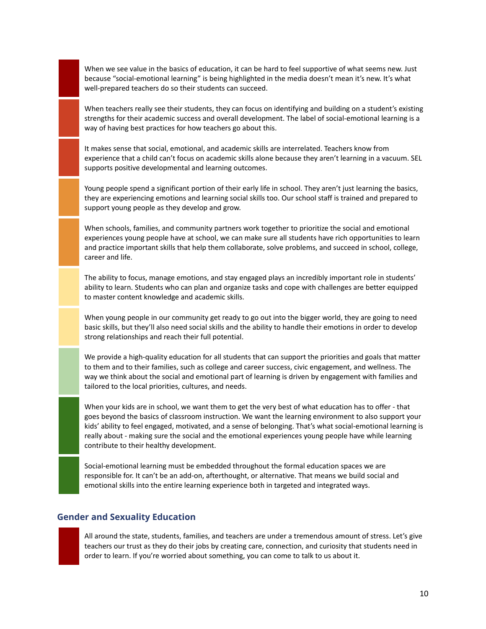When we see value in the basics of education, it can be hard to feel supportive of what seems new. Just because "social-emotional learning" is being highlighted in the media doesn't mean it's new. It's what well-prepared teachers do so their students can succeed.

When teachers really see their students, they can focus on identifying and building on a student's existing strengths for their academic success and overall development. The label of social-emotional learning is a way of having best practices for how teachers go about this.

It makes sense that social, emotional, and academic skills are interrelated. Teachers know from experience that a child can't focus on academic skills alone because they aren't learning in a vacuum. SEL supports positive developmental and learning outcomes.

Young people spend a significant portion of their early life in school. They aren't just learning the basics, they are experiencing emotions and learning social skills too. Our school staff is trained and prepared to support young people as they develop and grow.

When schools, families, and community partners work together to prioritize the social and emotional experiences young people have at school, we can make sure all students have rich opportunities to learn and practice important skills that help them collaborate, solve problems, and succeed in school, college, career and life.

The ability to focus, manage emotions, and stay engaged plays an incredibly important role in students' ability to learn. Students who can plan and organize tasks and cope with challenges are better equipped to master content knowledge and academic skills.

When young people in our community get ready to go out into the bigger world, they are going to need basic skills, but they'll also need social skills and the ability to handle their emotions in order to develop strong relationships and reach their full potential.

We provide a high-quality education for all students that can support the priorities and goals that matter to them and to their families, such as college and career success, civic engagement, and wellness. The way we think about the social and emotional part of learning is driven by engagement with families and tailored to the local priorities, cultures, and needs.

When your kids are in school, we want them to get the very best of what education has to offer - that goes beyond the basics of classroom instruction. We want the learning environment to also support your kids' ability to feel engaged, motivated, and a sense of belonging. That's what social-emotional learning is really about - making sure the social and the emotional experiences young people have while learning contribute to their healthy development.

Social-emotional learning must be embedded throughout the formal education spaces we are responsible for. It can't be an add-on, afterthought, or alternative. That means we build social and emotional skills into the entire learning experience both in targeted and integrated ways.

### <span id="page-9-0"></span>**Gender and Sexuality Education**

All around the state, students, families, and teachers are under a tremendous amount of stress. Let's give teachers our trust as they do their jobs by creating care, connection, and curiosity that students need in order to learn. If you're worried about something, you can come to talk to us about it.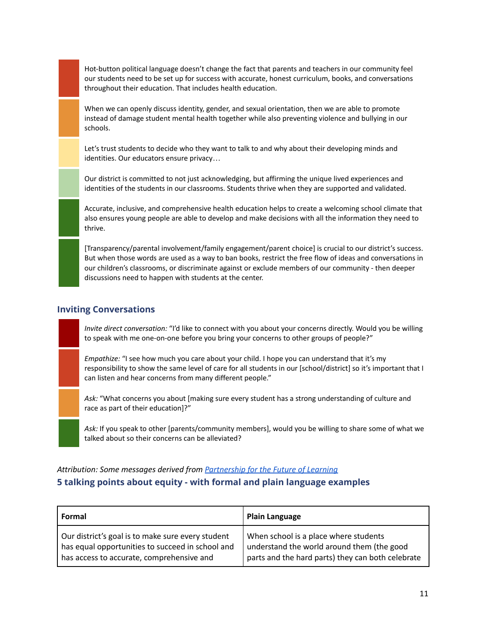Hot-button political language doesn't change the fact that parents and teachers in our community feel our students need to be set up for success with accurate, honest curriculum, books, and conversations throughout their education. That includes health education.

When we can openly discuss identity, gender, and sexual orientation, then we are able to promote instead of damage student mental health together while also preventing violence and bullying in our schools.

Let's trust students to decide who they want to talk to and why about their developing minds and identities. Our educators ensure privacy…

Our district is committed to not just acknowledging, but affirming the unique lived experiences and identities of the students in our classrooms. Students thrive when they are supported and validated.

Accurate, inclusive, and comprehensive health education helps to create a welcoming school climate that also ensures young people are able to develop and make decisions with all the information they need to thrive.

[Transparency/parental involvement/family engagement/parent choice] is crucial to our district's success. But when those words are used as a way to ban books, restrict the free flow of ideas and conversations in our children's classrooms, or discriminate against or exclude members of our community - then deeper discussions need to happen with students at the center.

### <span id="page-10-0"></span>**Inviting Conversations**

*Invite direct conversation:* "I'd like to connect with you about your concerns directly. Would you be willing to speak with me one-on-one before you bring your concerns to other groups of people?"

*Empathize:* "I see how much you care about your child. I hope you can understand that it's my responsibility to show the same level of care for all students in our [school/district] so it's important that I can listen and hear concerns from many different people."

*Ask:* "What concerns you about [making sure every student has a strong understanding of culture and race as part of their education]?"

*Ask:* If you speak to other [parents/community members], would you be willing to share some of what we talked about so their concerns can be alleviated?

### <span id="page-10-1"></span>*Attribution: Some messages derived from [Partnership](https://futureforlearning.org) for the Future of Learning* **5 talking points about equity - with formal and plain language examples**

| Formal                                            | <b>Plain Language</b>                             |
|---------------------------------------------------|---------------------------------------------------|
| Our district's goal is to make sure every student | When school is a place where students             |
| has equal opportunities to succeed in school and  | understand the world around them (the good        |
| has access to accurate, comprehensive and         | parts and the hard parts) they can both celebrate |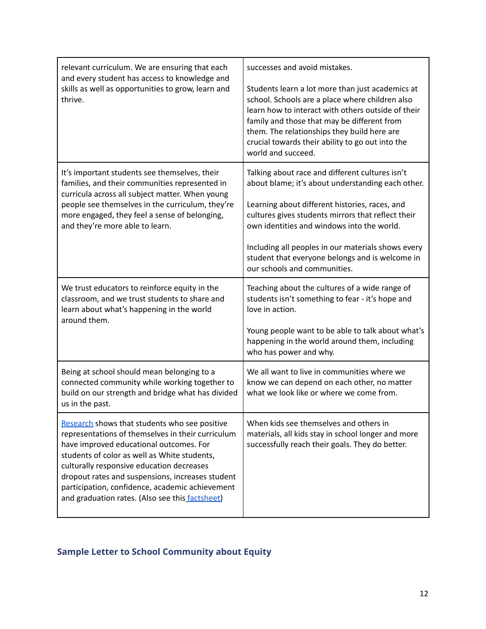| relevant curriculum. We are ensuring that each<br>and every student has access to knowledge and<br>skills as well as opportunities to grow, learn and<br>thrive.                                                                                                                                                                                                                                     | successes and avoid mistakes.<br>Students learn a lot more than just academics at<br>school. Schools are a place where children also<br>learn how to interact with others outside of their<br>family and those that may be different from<br>them. The relationships they build here are<br>crucial towards their ability to go out into the<br>world and succeed.                                  |
|------------------------------------------------------------------------------------------------------------------------------------------------------------------------------------------------------------------------------------------------------------------------------------------------------------------------------------------------------------------------------------------------------|-----------------------------------------------------------------------------------------------------------------------------------------------------------------------------------------------------------------------------------------------------------------------------------------------------------------------------------------------------------------------------------------------------|
| It's important students see themselves, their<br>families, and their communities represented in<br>curricula across all subject matter. When young<br>people see themselves in the curriculum, they're<br>more engaged, they feel a sense of belonging,<br>and they're more able to learn.                                                                                                           | Talking about race and different cultures isn't<br>about blame; it's about understanding each other.<br>Learning about different histories, races, and<br>cultures gives students mirrors that reflect their<br>own identities and windows into the world.<br>Including all peoples in our materials shows every<br>student that everyone belongs and is welcome in<br>our schools and communities. |
| We trust educators to reinforce equity in the<br>classroom, and we trust students to share and<br>learn about what's happening in the world<br>around them.                                                                                                                                                                                                                                          | Teaching about the cultures of a wide range of<br>students isn't something to fear - it's hope and<br>love in action.<br>Young people want to be able to talk about what's<br>happening in the world around them, including<br>who has power and why.                                                                                                                                               |
| Being at school should mean belonging to a<br>connected community while working together to<br>build on our strength and bridge what has divided<br>us in the past.                                                                                                                                                                                                                                  | We all want to live in communities where we<br>know we can depend on each other, no matter<br>what we look like or where we come from.                                                                                                                                                                                                                                                              |
| Research shows that students who see positive<br>representations of themselves in their curriculum<br>have improved educational outcomes. For<br>students of color as well as White students,<br>culturally responsive education decreases<br>dropout rates and suspensions, increases student<br>participation, confidence, academic achievement<br>and graduation rates. (Also see this factsheet) | When kids see themselves and others in<br>materials, all kids stay in school longer and more<br>successfully reach their goals. They do better.                                                                                                                                                                                                                                                     |

# <span id="page-11-0"></span>**Sample Letter to School Community about Equity**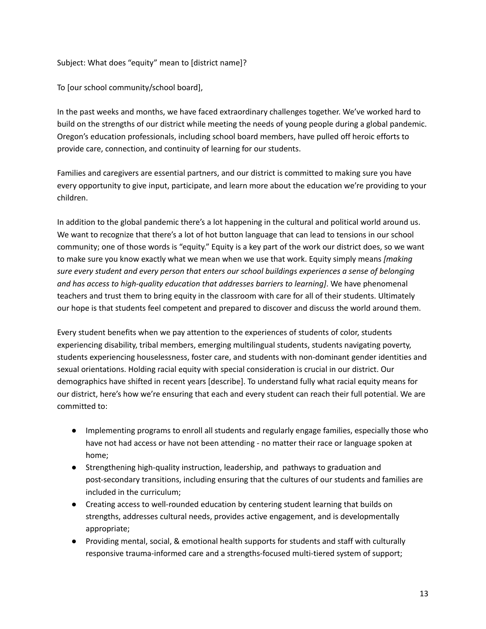Subject: What does "equity" mean to [district name]?

To [our school community/school board],

In the past weeks and months, we have faced extraordinary challenges together. We've worked hard to build on the strengths of our district while meeting the needs of young people during a global pandemic. Oregon's education professionals, including school board members, have pulled off heroic efforts to provide care, connection, and continuity of learning for our students.

Families and caregivers are essential partners, and our district is committed to making sure you have every opportunity to give input, participate, and learn more about the education we're providing to your children.

In addition to the global pandemic there's a lot happening in the cultural and political world around us. We want to recognize that there's a lot of hot button language that can lead to tensions in our school community; one of those words is "equity." Equity is a key part of the work our district does, so we want to make sure you know exactly what we mean when we use that work. Equity simply means *[making sure every student and every person that enters our school buildings experiences a sense of belonging and has access to high-quality education that addresses barriers to learning]*. We have phenomenal teachers and trust them to bring equity in the classroom with care for all of their students. Ultimately our hope is that students feel competent and prepared to discover and discuss the world around them.

Every student benefits when we pay attention to the experiences of students of color, students experiencing disability, tribal members, emerging multilingual students, students navigating poverty, students experiencing houselessness, foster care, and students with non-dominant gender identities and sexual orientations. Holding racial equity with special consideration is crucial in our district. Our demographics have shifted in recent years [describe]. To understand fully what racial equity means for our district, here's how we're ensuring that each and every student can reach their full potential. We are committed to:

- Implementing programs to enroll all students and regularly engage families, especially those who have not had access or have not been attending - no matter their race or language spoken at home;
- Strengthening high-quality instruction, leadership, and pathways to graduation and post-secondary transitions, including ensuring that the cultures of our students and families are included in the curriculum;
- Creating access to well-rounded education by centering student learning that builds on strengths, addresses cultural needs, provides active engagement, and is developmentally appropriate;
- Providing mental, social, & emotional health supports for students and staff with culturally responsive trauma-informed care and a strengths-focused multi-tiered system of support;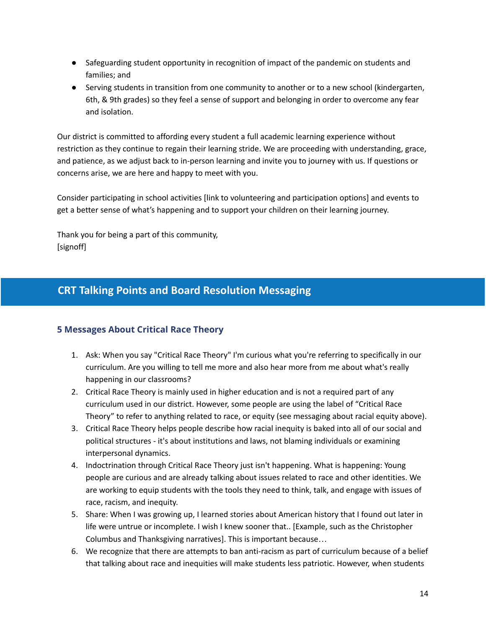- Safeguarding student opportunity in recognition of impact of the pandemic on students and families; and
- Serving students in transition from one community to another or to a new school (kindergarten, 6th, & 9th grades) so they feel a sense of support and belonging in order to overcome any fear and isolation.

Our district is committed to affording every student a full academic learning experience without restriction as they continue to regain their learning stride. We are proceeding with understanding, grace, and patience, as we adjust back to in-person learning and invite you to journey with us. If questions or concerns arise, we are here and happy to meet with you.

Consider participating in school activities [link to volunteering and participation options] and events to get a better sense of what's happening and to support your children on their learning journey.

Thank you for being a part of this community, [signoff]

# <span id="page-13-0"></span>**CRT Talking Points and Board Resolution Messaging**

# <span id="page-13-1"></span>**5 Messages About Critical Race Theory**

- 1. Ask: When you say "Critical Race Theory" I'm curious what you're referring to specifically in our curriculum. Are you willing to tell me more and also hear more from me about what's really happening in our classrooms?
- 2. Critical Race Theory is mainly used in higher education and is not a required part of any curriculum used in our district. However, some people are using the label of "Critical Race Theory" to refer to anything related to race, or equity (see messaging about racial equity above).
- 3. Critical Race Theory helps people describe how racial inequity is baked into all of our social and political structures - it's about institutions and laws, not blaming individuals or examining interpersonal dynamics.
- 4. Indoctrination through Critical Race Theory just isn't happening. What is happening: Young people are curious and are already talking about issues related to race and other identities. We are working to equip students with the tools they need to think, talk, and engage with issues of race, racism, and inequity.
- 5. Share: When I was growing up, I learned stories about American history that I found out later in life were untrue or incomplete. I wish I knew sooner that.. [Example, such as the Christopher Columbus and Thanksgiving narratives]. This is important because…
- 6. We recognize that there are attempts to ban anti-racism as part of curriculum because of a belief that talking about race and inequities will make students less patriotic. However, when students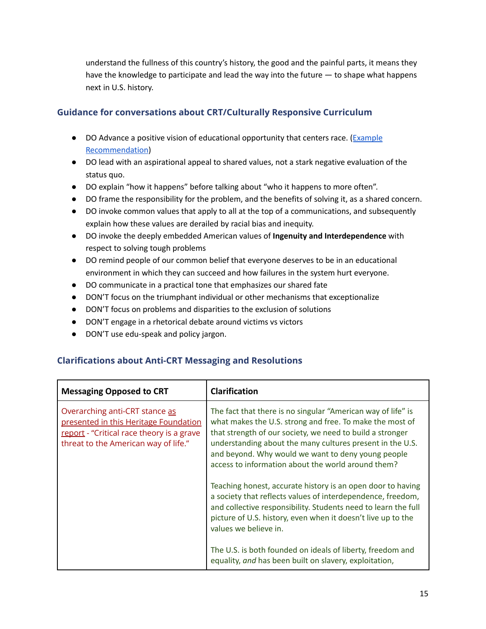understand the fullness of this country's history, the good and the painful parts, it means they have the knowledge to participate and lead the way into the future — to shape what happens next in U.S. history.

## <span id="page-14-0"></span>**Guidance for conversations about CRT/Culturally Responsive Curriculum**

- DO Advance a positive vision of educational opportunity that centers race. ([Example](https://www.frameworksinstitute.org/wp-content/uploads/2020/06/sharedstory-rec2.pdf) [Recommendation](https://www.frameworksinstitute.org/wp-content/uploads/2020/06/sharedstory-rec2.pdf))
- DO lead with an aspirational appeal to shared values, not a stark negative evaluation of the status quo.
- DO explain "how it happens" before talking about "who it happens to more often".
- DO frame the responsibility for the problem, and the benefits of solving it, as a shared concern.
- DO invoke common values that apply to all at the top of a communications, and subsequently explain how these values are derailed by racial bias and inequity.
- DO invoke the deeply embedded American values of **Ingenuity and Interdependence** with respect to solving tough problems
- DO remind people of our common belief that everyone deserves to be in an educational environment in which they can succeed and how failures in the system hurt everyone.
- DO communicate in a practical tone that emphasizes our shared fate
- DON'T focus on the triumphant individual or other mechanisms that exceptionalize
- DON'T focus on problems and disparities to the exclusion of solutions
- DON'T engage in a rhetorical debate around victims vs victors
- DON'T use edu-speak and policy jargon.

# <span id="page-14-1"></span>**Clarifications about Anti-CRT Messaging and Resolutions**

| <b>Messaging Opposed to CRT</b>                                                                                                                              | <b>Clarification</b>                                                                                                                                                                                                                                                                                                                                           |
|--------------------------------------------------------------------------------------------------------------------------------------------------------------|----------------------------------------------------------------------------------------------------------------------------------------------------------------------------------------------------------------------------------------------------------------------------------------------------------------------------------------------------------------|
| Overarching anti-CRT stance as<br>presented in this Heritage Foundation<br>report - "Critical race theory is a grave<br>threat to the American way of life." | The fact that there is no singular "American way of life" is<br>what makes the U.S. strong and free. To make the most of<br>that strength of our society, we need to build a stronger<br>understanding about the many cultures present in the U.S.<br>and beyond. Why would we want to deny young people<br>access to information about the world around them? |
|                                                                                                                                                              | Teaching honest, accurate history is an open door to having<br>a society that reflects values of interdependence, freedom,<br>and collective responsibility. Students need to learn the full<br>picture of U.S. history, even when it doesn't live up to the<br>values we believe in.                                                                          |
|                                                                                                                                                              | The U.S. is both founded on ideals of liberty, freedom and<br>equality, and has been built on slavery, exploitation,                                                                                                                                                                                                                                           |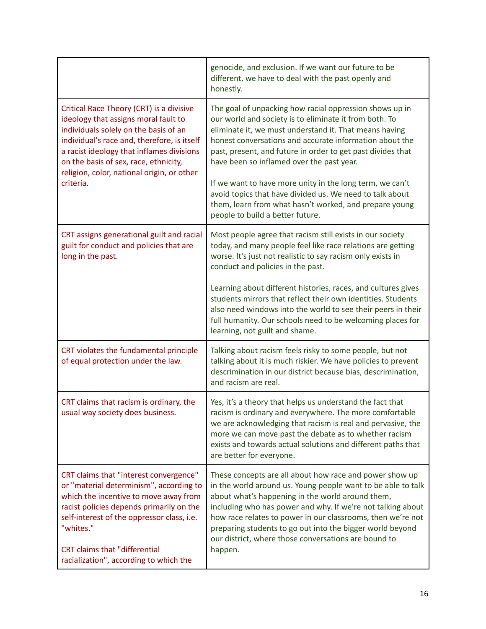|                                                                                                                                                                                                                                                                                                                           | genocide, and exclusion. If we want our future to be<br>different, we have to deal with the past openly and<br>honestly.                                                                                                                                                                                                                                                                                                                                                   |
|---------------------------------------------------------------------------------------------------------------------------------------------------------------------------------------------------------------------------------------------------------------------------------------------------------------------------|----------------------------------------------------------------------------------------------------------------------------------------------------------------------------------------------------------------------------------------------------------------------------------------------------------------------------------------------------------------------------------------------------------------------------------------------------------------------------|
| Critical Race Theory (CRT) is a divisive<br>ideology that assigns moral fault to<br>individuals solely on the basis of an<br>individual's race and, therefore, is itself<br>a racist ideology that inflames divisions<br>on the basis of sex, race, ethnicity,<br>religion, color, national origin, or other<br>criteria. | The goal of unpacking how racial oppression shows up in<br>our world and society is to eliminate it from both. To<br>eliminate it, we must understand it. That means having<br>honest conversations and accurate information about the<br>past, present, and future in order to get past divides that<br>have been so inflamed over the past year.<br>If we want to have more unity in the long term, we can't<br>avoid topics that have divided us. We need to talk about |
|                                                                                                                                                                                                                                                                                                                           | them, learn from what hasn't worked, and prepare young<br>people to build a better future.                                                                                                                                                                                                                                                                                                                                                                                 |
| CRT assigns generational guilt and racial<br>guilt for conduct and policies that are<br>long in the past.                                                                                                                                                                                                                 | Most people agree that racism still exists in our society<br>today, and many people feel like race relations are getting<br>worse. It's just not realistic to say racism only exists in<br>conduct and policies in the past.                                                                                                                                                                                                                                               |
|                                                                                                                                                                                                                                                                                                                           | Learning about different histories, races, and cultures gives<br>students mirrors that reflect their own identities. Students<br>also need windows into the world to see their peers in their<br>full humanity. Our schools need to be welcoming places for<br>learning, not guilt and shame.                                                                                                                                                                              |
| CRT violates the fundamental principle<br>of equal protection under the law.                                                                                                                                                                                                                                              | Talking about racism feels risky to some people, but not<br>talking about it is much riskier. We have policies to prevent<br>descrimination in our district because bias, descrimination,<br>and racism are real.                                                                                                                                                                                                                                                          |
| CRT claims that racism is ordinary, the<br>usual way society does business.                                                                                                                                                                                                                                               | Yes, it's a theory that helps us understand the fact that<br>racism is ordinary and everywhere. The more comfortable<br>we are acknowledging that racism is real and pervasive, the<br>more we can move past the debate as to whether racism<br>exists and towards actual solutions and different paths that<br>are better for everyone.                                                                                                                                   |
| CRT claims that "interest convergence"<br>or "material determinism", according to<br>which the incentive to move away from<br>racist policies depends primarily on the<br>self-interest of the oppressor class, i.e.<br>"whites."<br><b>CRT</b> claims that "differential<br>racialization", according to which the       | These concepts are all about how race and power show up<br>in the world around us. Young people want to be able to talk<br>about what's happening in the world around them,<br>including who has power and why. If we're not talking about<br>how race relates to power in our classrooms, then we're not<br>preparing students to go out into the bigger world beyond<br>our district, where those conversations are bound to<br>happen.                                  |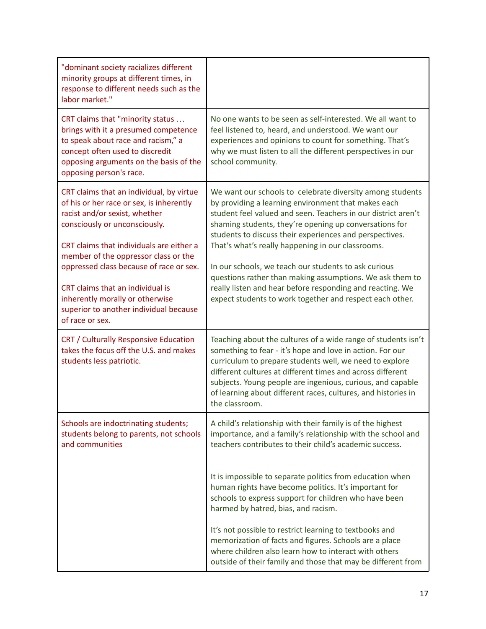| "dominant society racializes different<br>minority groups at different times, in<br>response to different needs such as the<br>labor market."                                                                                                                                                                                                                                                                             |                                                                                                                                                                                                                                                                                                                                                                                                                                                                                                                                                                                                                                                          |
|---------------------------------------------------------------------------------------------------------------------------------------------------------------------------------------------------------------------------------------------------------------------------------------------------------------------------------------------------------------------------------------------------------------------------|----------------------------------------------------------------------------------------------------------------------------------------------------------------------------------------------------------------------------------------------------------------------------------------------------------------------------------------------------------------------------------------------------------------------------------------------------------------------------------------------------------------------------------------------------------------------------------------------------------------------------------------------------------|
| CRT claims that "minority status<br>brings with it a presumed competence<br>to speak about race and racism," a<br>concept often used to discredit<br>opposing arguments on the basis of the<br>opposing person's race.                                                                                                                                                                                                    | No one wants to be seen as self-interested. We all want to<br>feel listened to, heard, and understood. We want our<br>experiences and opinions to count for something. That's<br>why we must listen to all the different perspectives in our<br>school community.                                                                                                                                                                                                                                                                                                                                                                                        |
| CRT claims that an individual, by virtue<br>of his or her race or sex, is inherently<br>racist and/or sexist, whether<br>consciously or unconsciously.<br>CRT claims that individuals are either a<br>member of the oppressor class or the<br>oppressed class because of race or sex.<br>CRT claims that an individual is<br>inherently morally or otherwise<br>superior to another individual because<br>of race or sex. | We want our schools to celebrate diversity among students<br>by providing a learning environment that makes each<br>student feel valued and seen. Teachers in our district aren't<br>shaming students, they're opening up conversations for<br>students to discuss their experiences and perspectives.<br>That's what's really happening in our classrooms.<br>In our schools, we teach our students to ask curious<br>questions rather than making assumptions. We ask them to<br>really listen and hear before responding and reacting. We<br>expect students to work together and respect each other.                                                 |
| CRT / Culturally Responsive Education<br>takes the focus off the U.S. and makes<br>students less patriotic.                                                                                                                                                                                                                                                                                                               | Teaching about the cultures of a wide range of students isn't<br>something to fear - it's hope and love in action. For our<br>curriculum to prepare students well, we need to explore<br>different cultures at different times and across different<br>subjects. Young people are ingenious, curious, and capable<br>of learning about different races, cultures, and histories in<br>the classroom.                                                                                                                                                                                                                                                     |
| Schools are indoctrinating students;<br>students belong to parents, not schools<br>and communities                                                                                                                                                                                                                                                                                                                        | A child's relationship with their family is of the highest<br>importance, and a family's relationship with the school and<br>teachers contributes to their child's academic success.<br>It is impossible to separate politics from education when<br>human rights have become politics. It's important for<br>schools to express support for children who have been<br>harmed by hatred, bias, and racism.<br>It's not possible to restrict learning to textbooks and<br>memorization of facts and figures. Schools are a place<br>where children also learn how to interact with others<br>outside of their family and those that may be different from |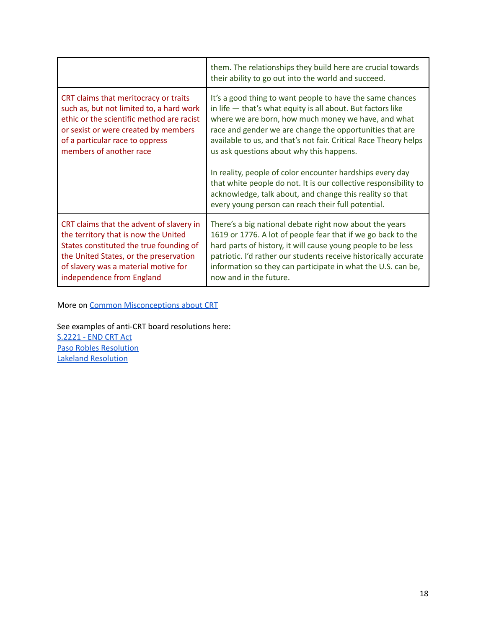|                                                                                                                                                                                                                                            | them. The relationships they build here are crucial towards<br>their ability to go out into the world and succeed.                                                                                                                                                                                                                                                                                                                                                                                                                                                                                               |
|--------------------------------------------------------------------------------------------------------------------------------------------------------------------------------------------------------------------------------------------|------------------------------------------------------------------------------------------------------------------------------------------------------------------------------------------------------------------------------------------------------------------------------------------------------------------------------------------------------------------------------------------------------------------------------------------------------------------------------------------------------------------------------------------------------------------------------------------------------------------|
| CRT claims that meritocracy or traits<br>such as, but not limited to, a hard work<br>ethic or the scientific method are racist<br>or sexist or were created by members<br>of a particular race to oppress<br>members of another race       | It's a good thing to want people to have the same chances<br>in life $-$ that's what equity is all about. But factors like<br>where we are born, how much money we have, and what<br>race and gender we are change the opportunities that are<br>available to us, and that's not fair. Critical Race Theory helps<br>us ask questions about why this happens.<br>In reality, people of color encounter hardships every day<br>that white people do not. It is our collective responsibility to<br>acknowledge, talk about, and change this reality so that<br>every young person can reach their full potential. |
| CRT claims that the advent of slavery in<br>the territory that is now the United<br>States constituted the true founding of<br>the United States, or the preservation<br>of slavery was a material motive for<br>independence from England | There's a big national debate right now about the years<br>1619 or 1776. A lot of people fear that if we go back to the<br>hard parts of history, it will cause young people to be less<br>patriotic. I'd rather our students receive historically accurate<br>information so they can participate in what the U.S. can be,<br>now and in the future.                                                                                                                                                                                                                                                            |

More on Common [Misconceptions](https://docs.google.com/document/d/1Rr_28joYhs0MiJbMcUvvecewrlSlp344EJ2Xf7bfUA8/edit?usp=sharing) about CRT

See examples of anti-CRT board resolutions here: [S.2221](https://www.govinfo.gov/content/pkg/BILLS-117s2221is/html/BILLS-117s2221is.htm) - END CRT Act Paso Robles [Resolution](https://defendinged.org/wp-content/uploads/2021/08/H_2_DraftResolution2127A_0-1.pdf) Lakeland [Resolution](https://resources.finalsite.net/images/v1635348499/lakeland272org/mcov4tebo9rardr5sc8l/101721Resolution-CriticalRaceTheory.pdf)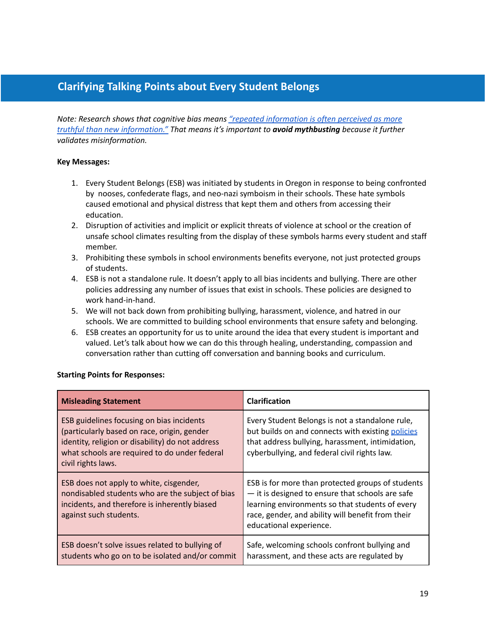# <span id="page-18-0"></span>**Clarifying Talking Points about Every Student Belongs**

*Note: Research shows that cognitive bias means "repeated [information](https://cognitiveresearchjournal.springeropen.com/articles/10.1186/s41235-021-00301-5) is often perceived as more truthful than new [information."](https://cognitiveresearchjournal.springeropen.com/articles/10.1186/s41235-021-00301-5) That means it's important to avoid mythbusting because it further validates misinformation.*

#### **Key Messages:**

- 1. Every Student Belongs (ESB) was initiated by students in Oregon in response to being confronted by nooses, confederate flags, and neo-nazi symboism in their schools. These hate symbols caused emotional and physical distress that kept them and others from accessing their education.
- 2. Disruption of activities and implicit or explicit threats of violence at school or the creation of unsafe school climates resulting from the display of these symbols harms every student and staff member.
- 3. Prohibiting these symbols in school environments benefits everyone, not just protected groups of students.
- 4. ESB is not a standalone rule. It doesn't apply to all bias incidents and bullying. There are other policies addressing any number of issues that exist in schools. These policies are designed to work hand-in-hand.
- 5. We will not back down from prohibiting bullying, harassment, violence, and hatred in our schools. We are committed to building school environments that ensure safety and belonging.
- 6. ESB creates an opportunity for us to unite around the idea that every student is important and valued. Let's talk about how we can do this through healing, understanding, compassion and conversation rather than cutting off conversation and banning books and curriculum.

#### **Starting Points for Responses:**

| <b>Misleading Statement</b>                                                                                                                                                                                         | <b>Clarification</b>                                                                                                                                                                                                                     |
|---------------------------------------------------------------------------------------------------------------------------------------------------------------------------------------------------------------------|------------------------------------------------------------------------------------------------------------------------------------------------------------------------------------------------------------------------------------------|
| ESB guidelines focusing on bias incidents<br>(particularly based on race, origin, gender<br>identity, religion or disability) do not address<br>what schools are required to do under federal<br>civil rights laws. | Every Student Belongs is not a standalone rule,<br>but builds on and connects with existing policies<br>that address bullying, harassment, intimidation,<br>cyberbullying, and federal civil rights law.                                 |
| ESB does not apply to white, cisgender,<br>nondisabled students who are the subject of bias<br>incidents, and therefore is inherently biased<br>against such students.                                              | ESB is for more than protected groups of students<br>- it is designed to ensure that schools are safe<br>learning environments so that students of every<br>race, gender, and ability will benefit from their<br>educational experience. |
| ESB doesn't solve issues related to bullying of<br>students who go on to be isolated and/or commit                                                                                                                  | Safe, welcoming schools confront bullying and<br>harassment, and these acts are regulated by                                                                                                                                             |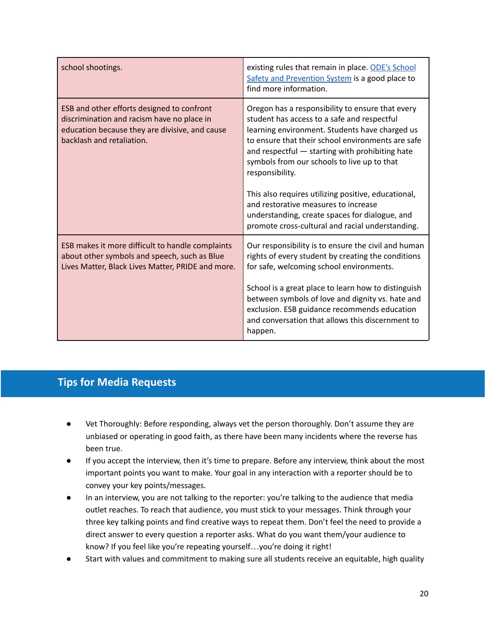| school shootings.                                                                                                                                                       | existing rules that remain in place. ODE's School<br>Safety and Prevention System is a good place to<br>find more information.                                                                                                                                                                                                                                                                                                                                                                                                   |
|-------------------------------------------------------------------------------------------------------------------------------------------------------------------------|----------------------------------------------------------------------------------------------------------------------------------------------------------------------------------------------------------------------------------------------------------------------------------------------------------------------------------------------------------------------------------------------------------------------------------------------------------------------------------------------------------------------------------|
| ESB and other efforts designed to confront<br>discrimination and racism have no place in<br>education because they are divisive, and cause<br>backlash and retaliation. | Oregon has a responsibility to ensure that every<br>student has access to a safe and respectful<br>learning environment. Students have charged us<br>to ensure that their school environments are safe<br>and respectful - starting with prohibiting hate<br>symbols from our schools to live up to that<br>responsibility.<br>This also requires utilizing positive, educational,<br>and restorative measures to increase<br>understanding, create spaces for dialogue, and<br>promote cross-cultural and racial understanding. |
| ESB makes it more difficult to handle complaints<br>about other symbols and speech, such as Blue<br>Lives Matter, Black Lives Matter, PRIDE and more.                   | Our responsibility is to ensure the civil and human<br>rights of every student by creating the conditions<br>for safe, welcoming school environments.<br>School is a great place to learn how to distinguish<br>between symbols of love and dignity vs. hate and<br>exclusion. ESB guidance recommends education<br>and conversation that allows this discernment to<br>happen.                                                                                                                                                  |

# <span id="page-19-0"></span>**Tips for Media Requests**

- Vet Thoroughly: Before responding, always vet the person thoroughly. Don't assume they are unbiased or operating in good faith, as there have been many incidents where the reverse has been true.
- If you accept the interview, then it's time to prepare. Before any interview, think about the most important points you want to make. Your goal in any interaction with a reporter should be to convey your key points/messages.
- In an interview, you are not talking to the reporter: you're talking to the audience that media outlet reaches. To reach that audience, you must stick to your messages. Think through your three key talking points and find creative ways to repeat them. Don't feel the need to provide a direct answer to every question a reporter asks. What do you want them/your audience to know? If you feel like you're repeating yourself…you're doing it right!
- Start with values and commitment to making sure all students receive an equitable, high quality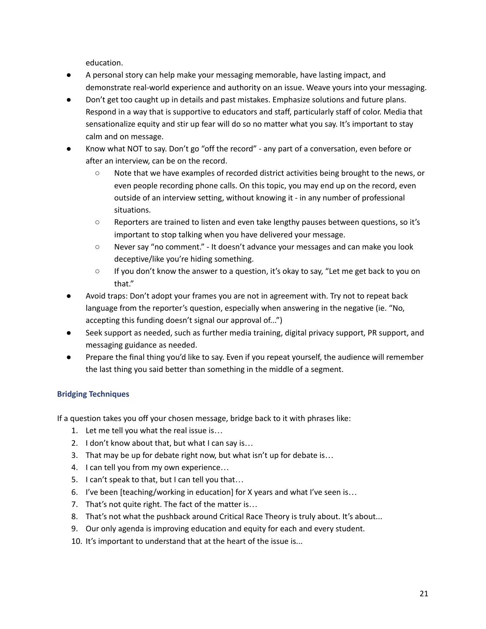education.

- A personal story can help make your messaging memorable, have lasting impact, and demonstrate real-world experience and authority on an issue. Weave yours into your messaging.
- Don't get too caught up in details and past mistakes. Emphasize solutions and future plans. Respond in a way that is supportive to educators and staff, particularly staff of color. Media that sensationalize equity and stir up fear will do so no matter what you say. It's important to stay calm and on message.
- Know what NOT to say. Don't go "off the record" any part of a conversation, even before or after an interview, can be on the record.
	- Note that we have examples of recorded district activities being brought to the news, or even people recording phone calls. On this topic, you may end up on the record, even outside of an interview setting, without knowing it - in any number of professional situations.
	- Reporters are trained to listen and even take lengthy pauses between questions, so it's important to stop talking when you have delivered your message.
	- Never say "no comment." It doesn't advance your messages and can make you look deceptive/like you're hiding something.
	- If you don't know the answer to a question, it's okay to say, "Let me get back to you on that."
- Avoid traps: Don't adopt your frames you are not in agreement with. Try not to repeat back language from the reporter's question, especially when answering in the negative (ie. "No, accepting this funding doesn't signal our approval of...")
- Seek support as needed, such as further media training, digital privacy support, PR support, and messaging guidance as needed.
- Prepare the final thing you'd like to say. Even if you repeat yourself, the audience will remember the last thing you said better than something in the middle of a segment.

### <span id="page-20-0"></span>**Bridging Techniques**

If a question takes you off your chosen message, bridge back to it with phrases like:

- 1. Let me tell you what the real issue is…
- 2. I don't know about that, but what I can say is…
- 3. That may be up for debate right now, but what isn't up for debate is…
- 4. I can tell you from my own experience...
- 5. I can't speak to that, but I can tell you that…
- 6. I've been [teaching/working in education] for X years and what I've seen is…
- 7. That's not quite right. The fact of the matter is…
- 8. That's not what the pushback around Critical Race Theory is truly about. It's about...
- 9. Our only agenda is improving education and equity for each and every student.
- 10. It's important to understand that at the heart of the issue is...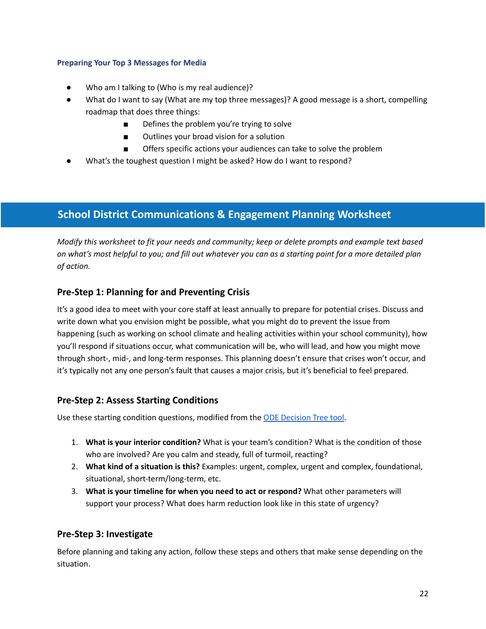#### <span id="page-21-0"></span>**Preparing Your Top 3 Messages for Media**

- Who am I talking to (Who is my real audience)?
- What do I want to say (What are my top three messages)? A good message is a short, compelling roadmap that does three things:
	- Defines the problem you're trying to solve
	- Outlines your broad vision for a solution
	- Offers specific actions your audiences can take to solve the problem
- What's the toughest question I might be asked? How do I want to respond?

# <span id="page-21-1"></span>**School District Communications & Engagement Planning Worksheet**

*Modify this worksheet to fit your needs and community; keep or delete prompts and example text based* on what's most helpful to you; and fill out whatever you can as a starting point for a more detailed plan *of action.*

### **Pre-Step 1: Planning for and Preventing Crisis**

It's a good idea to meet with your core staff at least annually to prepare for potential crises. Discuss and write down what you envision might be possible, what you might do to prevent the issue from happening (such as working on school climate and healing activities within your school community), how you'll respond if situations occur, what communication will be, who will lead, and how you might move through short-, mid-, and long-term responses. This planning doesn't ensure that crises won't occur, and it's typically not any one person's fault that causes a major crisis, but it's beneficial to feel prepared.

### **Pre-Step 2: Assess Starting Conditions**

Use these starting condition questions, modified from the ODE [Decision](https://www.oregon.gov/ode/students-and-family/healthsafety/Documents/Decision%20Tools%20for%20SY%202020-21.pdf) Tree tool.

- 1. **What is your interior condition?** What is your team's condition? What is the condition of those who are involved? Are you calm and steady, full of turmoil, reacting?
- 2. **What kind of a situation is this?** Examples: urgent, complex, urgent and complex, foundational, situational, short-term/long-term, etc.
- 3. **What is your timeline for when you need to act or respond?** What other parameters will support your process? What does harm reduction look like in this state of urgency?

### **Pre-Step 3: Investigate**

Before planning and taking any action, follow these steps and others that make sense depending on the situation.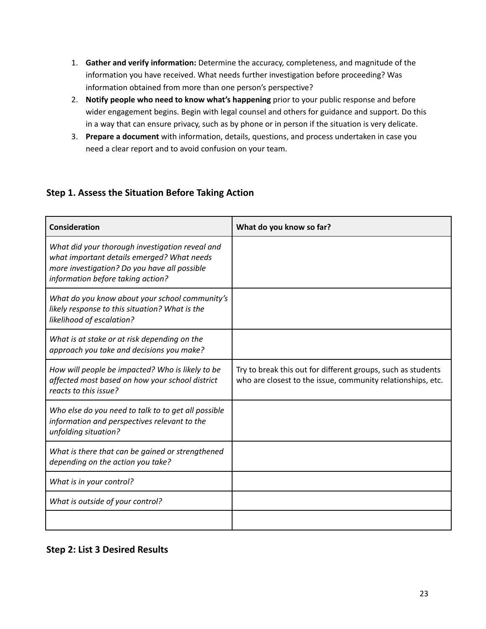- 1. **Gather and verify information:** Determine the accuracy, completeness, and magnitude of the information you have received. What needs further investigation before proceeding? Was information obtained from more than one person's perspective?
- 2. **Notify people who need to know what's happening** prior to your public response and before wider engagement begins. Begin with legal counsel and others for guidance and support. Do this in a way that can ensure privacy, such as by phone or in person if the situation is very delicate.
- 3. **Prepare a document** with information, details, questions, and process undertaken in case you need a clear report and to avoid confusion on your team.

# **Step 1. Assess the Situation Before Taking Action**

| <b>Consideration</b>                                                                                                                                                               | What do you know so far?                                                                                                    |
|------------------------------------------------------------------------------------------------------------------------------------------------------------------------------------|-----------------------------------------------------------------------------------------------------------------------------|
| What did your thorough investigation reveal and<br>what important details emerged? What needs<br>more investigation? Do you have all possible<br>information before taking action? |                                                                                                                             |
| What do you know about your school community's<br>likely response to this situation? What is the<br>likelihood of escalation?                                                      |                                                                                                                             |
| What is at stake or at risk depending on the<br>approach you take and decisions you make?                                                                                          |                                                                                                                             |
| How will people be impacted? Who is likely to be<br>affected most based on how your school district<br>reacts to this issue?                                                       | Try to break this out for different groups, such as students<br>who are closest to the issue, community relationships, etc. |
| Who else do you need to talk to to get all possible<br>information and perspectives relevant to the<br>unfolding situation?                                                        |                                                                                                                             |
| What is there that can be gained or strengthened<br>depending on the action you take?                                                                                              |                                                                                                                             |
| What is in your control?                                                                                                                                                           |                                                                                                                             |
| What is outside of your control?                                                                                                                                                   |                                                                                                                             |
|                                                                                                                                                                                    |                                                                                                                             |

# **Step 2: List 3 Desired Results**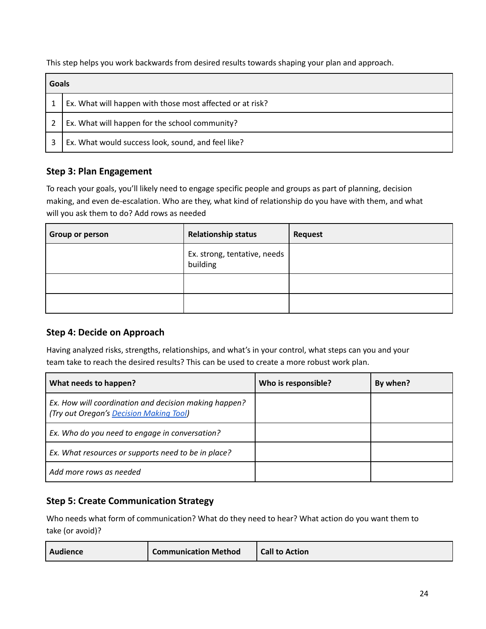This step helps you work backwards from desired results towards shaping your plan and approach.

| Goals |                                                           |
|-------|-----------------------------------------------------------|
|       | Ex. What will happen with those most affected or at risk? |
|       | Ex. What will happen for the school community?            |
|       | Ex. What would success look, sound, and feel like?        |

## **Step 3: Plan Engagement**

To reach your goals, you'll likely need to engage specific people and groups as part of planning, decision making, and even de-escalation. Who are they, what kind of relationship do you have with them, and what will you ask them to do? Add rows as needed

| <b>Group or person</b> | <b>Relationship status</b>               | <b>Request</b> |
|------------------------|------------------------------------------|----------------|
|                        | Ex. strong, tentative, needs<br>building |                |
|                        |                                          |                |
|                        |                                          |                |

### **Step 4: Decide on Approach**

Having analyzed risks, strengths, relationships, and what's in your control, what steps can you and your team take to reach the desired results? This can be used to create a more robust work plan.

| What needs to happen?                                                                            | Who is responsible? | By when? |
|--------------------------------------------------------------------------------------------------|---------------------|----------|
| Ex. How will coordination and decision making happen?<br>(Try out Oregon's Decision Making Tool) |                     |          |
| Ex. Who do you need to engage in conversation?                                                   |                     |          |
| Ex. What resources or supports need to be in place?                                              |                     |          |
| Add more rows as needed                                                                          |                     |          |

### **Step 5: Create Communication Strategy**

Who needs what form of communication? What do they need to hear? What action do you want them to take (or avoid)?

| <b>Communication Method</b><br>Audience | <b>Call to Action</b> |
|-----------------------------------------|-----------------------|
|-----------------------------------------|-----------------------|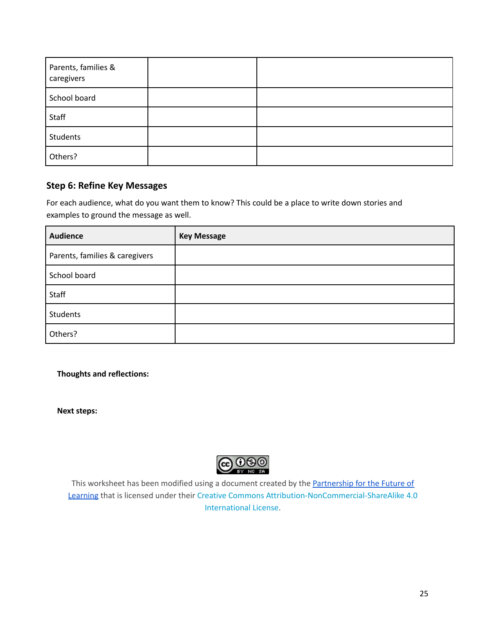| Parents, families &<br>caregivers |  |
|-----------------------------------|--|
| School board                      |  |
| Staff                             |  |
| Students                          |  |
| Others?                           |  |

### **Step 6: Refine Key Messages**

For each audience, what do you want them to know? This could be a place to write down stories and examples to ground the message as well.

| <b>Audience</b>                | <b>Key Message</b> |
|--------------------------------|--------------------|
| Parents, families & caregivers |                    |
| School board                   |                    |
| Staff                          |                    |
| <b>Students</b>                |                    |
| Others?                        |                    |

**Thoughts and reflections:**

**Next steps:**



This worksheet has been modified using a document created by the [Partnership](https://futureforlearning.org/) for the Future of [Learning](https://futureforlearning.org/) that is licensed under their Creative Commons [Attribution-NonCommercial-ShareAlike](http://creativecommons.org/licenses/by-nc-sa/4.0/) 4.0 [International](http://creativecommons.org/licenses/by-nc-sa/4.0/) License.